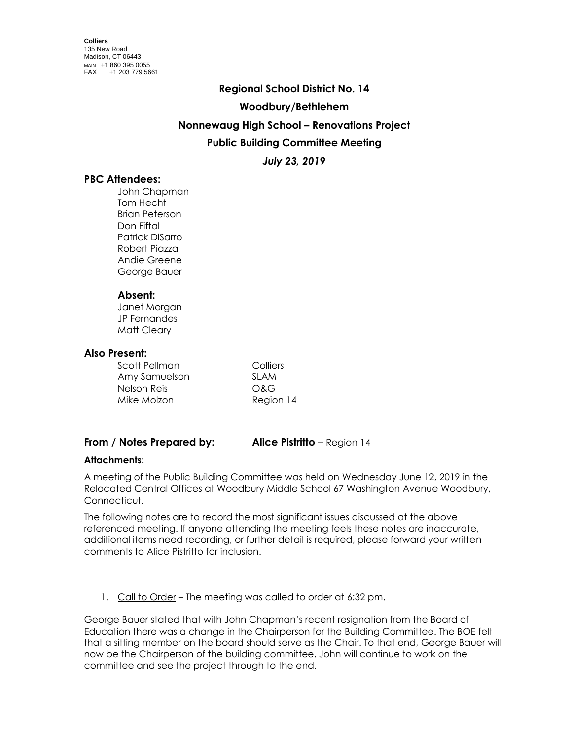#### **Regional School District No. 14**

### **Woodbury/Bethlehem**

### **Nonnewaug High School – Renovations Project**

## **Public Building Committee Meeting**

*July 23, 2019*

## **PBC Attendees:**

John Chapman Tom Hecht Brian Peterson Don Fiftal Patrick DiSarro Robert Piazza Andie Greene George Bauer

### **Absent:**

Janet Morgan JP Fernandes Matt Cleary

#### **Also Present:**

| Scott Pellman | Colliers  |
|---------------|-----------|
| Amy Samuelson | SI AM     |
| Nelson Reis   | O&G       |
| Mike Molzon   | Region 14 |

# **From / Notes Prepared by: Alice Pistritto** – Region 14

### **Attachments:**

A meeting of the Public Building Committee was held on Wednesday June 12, 2019 in the Relocated Central Offices at Woodbury Middle School 67 Washington Avenue Woodbury, Connecticut.

The following notes are to record the most significant issues discussed at the above referenced meeting. If anyone attending the meeting feels these notes are inaccurate, additional items need recording, or further detail is required, please forward your written comments to Alice Pistritto for inclusion.

1. Call to Order – The meeting was called to order at 6:32 pm.

George Bauer stated that with John Chapman's recent resignation from the Board of Education there was a change in the Chairperson for the Building Committee. The BOE felt that a sitting member on the board should serve as the Chair. To that end, George Bauer will now be the Chairperson of the building committee. John will continue to work on the committee and see the project through to the end.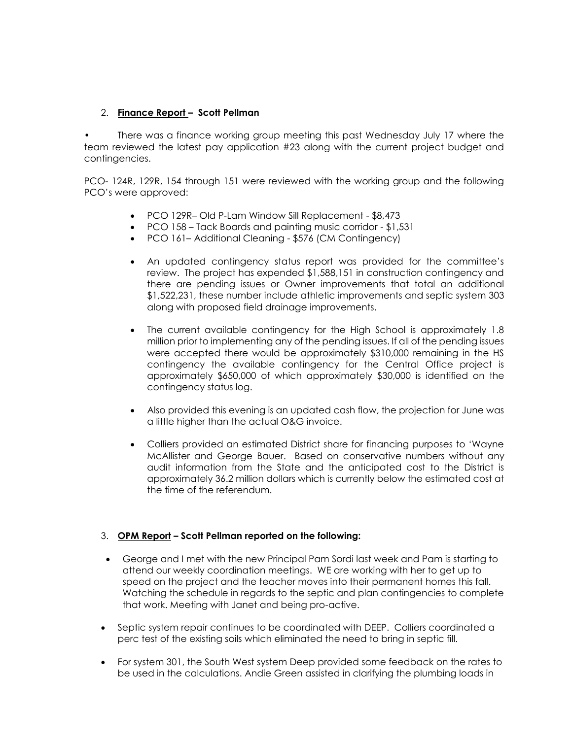## 2. **Finance Report – Scott Pellman**

There was a finance working group meeting this past Wednesday July 17 where the team reviewed the latest pay application #23 along with the current project budget and contingencies.

PCO- 124R, 129R, 154 through 151 were reviewed with the working group and the following PCO's were approved:

- PCO 129R– Old P-Lam Window Sill Replacement \$8,473
- PCO 158 Tack Boards and painting music corridor \$1,531
- PCO 161– Additional Cleaning \$576 (CM Contingency)
- An updated contingency status report was provided for the committee's review. The project has expended \$1,588,151 in construction contingency and there are pending issues or Owner improvements that total an additional \$1,522,231, these number include athletic improvements and septic system 303 along with proposed field drainage improvements.
- The current available contingency for the High School is approximately 1.8 million prior to implementing any of the pending issues. If all of the pending issues were accepted there would be approximately \$310,000 remaining in the HS contingency the available contingency for the Central Office project is approximately \$650,000 of which approximately \$30,000 is identified on the contingency status log.
- Also provided this evening is an updated cash flow, the projection for June was a little higher than the actual O&G invoice.
- Colliers provided an estimated District share for financing purposes to 'Wayne McAllister and George Bauer. Based on conservative numbers without any audit information from the State and the anticipated cost to the District is approximately 36.2 million dollars which is currently below the estimated cost at the time of the referendum.

### 3. **OPM Report – Scott Pellman reported on the following:**

- George and I met with the new Principal Pam Sordi last week and Pam is starting to attend our weekly coordination meetings. WE are working with her to get up to speed on the project and the teacher moves into their permanent homes this fall. Watching the schedule in regards to the septic and plan contingencies to complete that work. Meeting with Janet and being pro-active.
- Septic system repair continues to be coordinated with DEEP. Colliers coordinated a perc test of the existing soils which eliminated the need to bring in septic fill.
- For system 301, the South West system Deep provided some feedback on the rates to be used in the calculations. Andie Green assisted in clarifying the plumbing loads in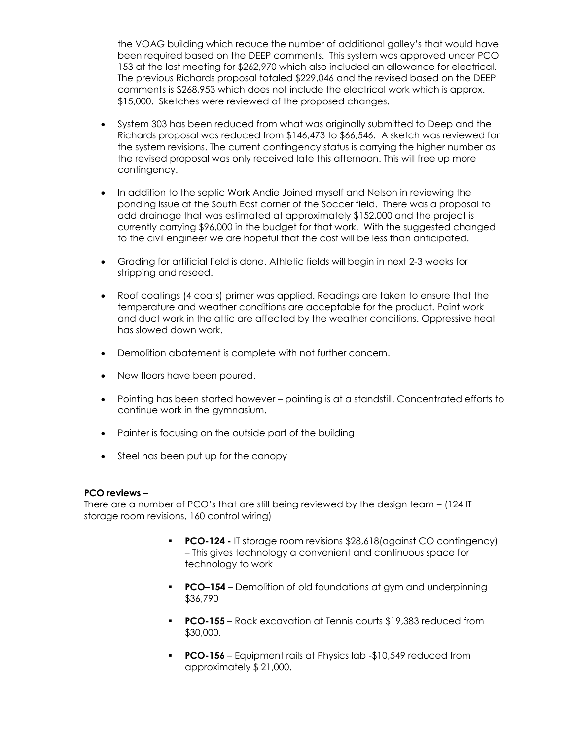the VOAG building which reduce the number of additional galley's that would have been required based on the DEEP comments. This system was approved under PCO 153 at the last meeting for \$262,970 which also included an allowance for electrical. The previous Richards proposal totaled \$229,046 and the revised based on the DEEP comments is \$268,953 which does not include the electrical work which is approx. \$15,000. Sketches were reviewed of the proposed changes.

- System 303 has been reduced from what was originally submitted to Deep and the Richards proposal was reduced from \$146,473 to \$66,546. A sketch was reviewed for the system revisions. The current contingency status is carrying the higher number as the revised proposal was only received late this afternoon. This will free up more contingency.
- In addition to the septic Work Andie Joined myself and Nelson in reviewing the ponding issue at the South East corner of the Soccer field. There was a proposal to add drainage that was estimated at approximately \$152,000 and the project is currently carrying \$96,000 in the budget for that work. With the suggested changed to the civil engineer we are hopeful that the cost will be less than anticipated.
- Grading for artificial field is done. Athletic fields will begin in next 2-3 weeks for stripping and reseed.
- Roof coatings (4 coats) primer was applied. Readings are taken to ensure that the temperature and weather conditions are acceptable for the product. Paint work and duct work in the attic are affected by the weather conditions. Oppressive heat has slowed down work.
- Demolition abatement is complete with not further concern.
- New floors have been poured.
- Pointing has been started however pointing is at a standstill. Concentrated efforts to continue work in the gymnasium.
- Painter is focusing on the outside part of the building
- Steel has been put up for the canopy

### **PCO reviews –**

There are a number of PCO's that are still being reviewed by the design team – (124 IT storage room revisions, 160 control wiring)

- **PCO-124 -** IT storage room revisions \$28,618(against CO contingency) – This gives technology a convenient and continuous space for technology to work
- **PCO-154** Demolition of old foundations at gym and underpinning \$36,790
- **PCO-155** Rock excavation at Tennis courts \$19,383 reduced from \$30,000.
- **PCO-156** Equipment rails at Physics lab -\$10,549 reduced from approximately \$ 21,000.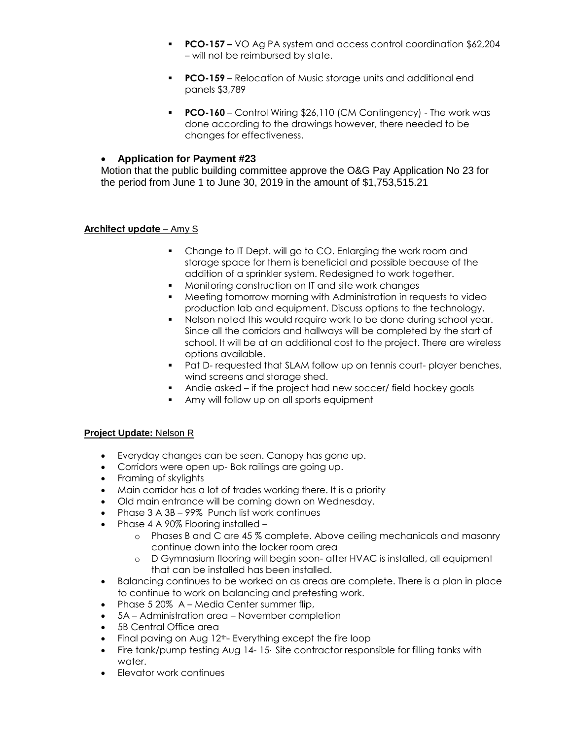- **PCO-157 –** VO Ag PA system and access control coordination \$62,204 – will not be reimbursed by state.
- **PCO-159** Relocation of Music storage units and additional end panels \$3,789
- **PCO-160** Control Wiring \$26,110 (CM Contingency) The work was done according to the drawings however, there needed to be changes for effectiveness.

### **Application for Payment #23**

Motion that the public building committee approve the O&G Pay Application No 23 for the period from June 1 to June 30, 2019 in the amount of \$1,753,515.21

### **Architect update** – Amy S

- Change to IT Dept. will go to CO. Enlarging the work room and storage space for them is beneficial and possible because of the addition of a sprinkler system. Redesigned to work together.
- Monitoring construction on IT and site work changes
- Meeting tomorrow morning with Administration in requests to video production lab and equipment. Discuss options to the technology.
- Nelson noted this would require work to be done during school year. Since all the corridors and hallways will be completed by the start of school. It will be at an additional cost to the project. There are wireless options available.
- **Pat D- requested that SLAM follow up on tennis court- player benches,** wind screens and storage shed.
- Andie asked if the project had new soccer/ field hockey goals
- **Amy will follow up on all sports equipment**

### **Project Update:** Nelson R

- Everyday changes can be seen. Canopy has gone up.
- Corridors were open up- Bok railings are going up.
- Framing of skylights
- Main corridor has a lot of trades working there. It is a priority
- Old main entrance will be coming down on Wednesday.
- Phase 3 A 3B 99% Punch list work continues
- Phase 4 A 90% Flooring installed
	- o Phases B and C are 45 % complete. Above ceiling mechanicals and masonry continue down into the locker room area
	- o D Gymnasium flooring will begin soon- after HVAC is installed, all equipment that can be installed has been installed.
- Balancing continues to be worked on as areas are complete. There is a plan in place to continue to work on balancing and pretesting work.
- Phase 5 20% A Media Center summer flip,
- 5A Administration area November completion
- 5B Central Office area
- $\bullet$  Final paving on Aug 12<sup>th</sup>- Everything except the fire loop
- Fire tank/pump testing Aug 14-15 Site contractor responsible for filling tanks with water.
- Elevator work continues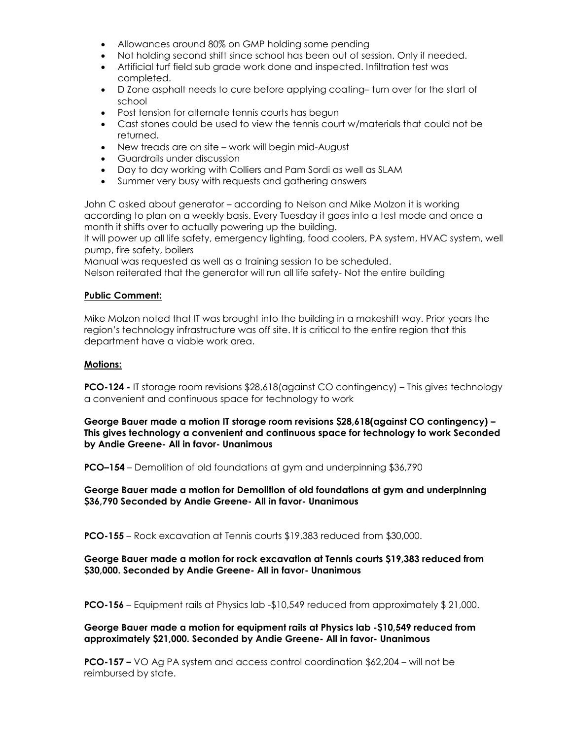- Allowances around 80% on GMP holding some pending
- Not holding second shift since school has been out of session. Only if needed.
- Artificial turf field sub grade work done and inspected. Infiltration test was completed.
- D Zone asphalt needs to cure before applying coating– turn over for the start of school
- Post tension for alternate tennis courts has begun
- Cast stones could be used to view the tennis court w/materials that could not be returned.
- New treads are on site work will begin mid-August
- Guardrails under discussion
- Day to day working with Colliers and Pam Sordi as well as SLAM
- Summer very busy with requests and gathering answers

John C asked about generator – according to Nelson and Mike Molzon it is working according to plan on a weekly basis. Every Tuesday it goes into a test mode and once a month it shifts over to actually powering up the building.

It will power up all life safety, emergency lighting, food coolers, PA system, HVAC system, well pump, fire safety, boilers

Manual was requested as well as a training session to be scheduled.

Nelson reiterated that the generator will run all life safety- Not the entire building

### **Public Comment:**

Mike Molzon noted that IT was brought into the building in a makeshift way. Prior years the region's technology infrastructure was off site. It is critical to the entire region that this department have a viable work area.

### **Motions:**

**PCO-124 -** IT storage room revisions \$28,618(against CO contingency) – This gives technology a convenient and continuous space for technology to work

**George Bauer made a motion IT storage room revisions \$28,618(against CO contingency) – This gives technology a convenient and continuous space for technology to work Seconded by Andie Greene- All in favor- Unanimous**

**PCO–154** – Demolition of old foundations at gym and underpinning \$36,790

**George Bauer made a motion for Demolition of old foundations at gym and underpinning \$36,790 Seconded by Andie Greene- All in favor- Unanimous**

**PCO-155** – Rock excavation at Tennis courts \$19,383 reduced from \$30,000.

### **George Bauer made a motion for rock excavation at Tennis courts \$19,383 reduced from \$30,000. Seconded by Andie Greene- All in favor- Unanimous**

**PCO-156** – Equipment rails at Physics lab -\$10,549 reduced from approximately \$ 21,000.

**George Bauer made a motion for equipment rails at Physics lab -\$10,549 reduced from approximately \$21,000. Seconded by Andie Greene- All in favor- Unanimous**

**PCO-157 –** VO Ag PA system and access control coordination \$62,204 – will not be reimbursed by state.